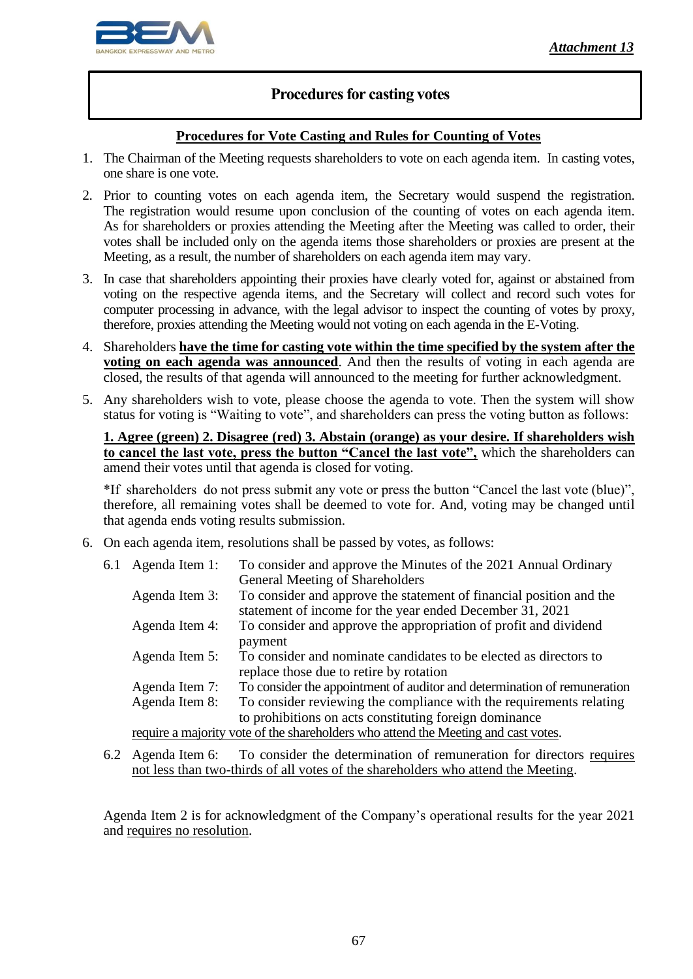

## **Procedures for casting votes**

## **Procedures for Vote Casting and Rules for Counting of Votes**

- 1. The Chairman of the Meeting requests shareholders to vote on each agenda item. In casting votes, one share is one vote.
- 2. Prior to counting votes on each agenda item, the Secretary would suspend the registration. The registration would resume upon conclusion of the counting of votes on each agenda item. As for shareholders or proxies attending the Meeting after the Meeting was called to order, their votes shall be included only on the agenda items those shareholders or proxies are present at the Meeting, as a result, the number of shareholders on each agenda item may vary.
- 3. In case that shareholders appointing their proxies have clearly voted for, against or abstained from voting on the respective agenda items, and the Secretary will collect and record such votes for computer processing in advance, with the legal advisor to inspect the counting of votes by proxy, therefore, proxies attending the Meeting would not voting on each agenda in the E-Voting.
- 4. Shareholders **have the time for casting vote within the time specified by the system after the voting on each agenda was announced**. And then the results of voting in each agenda are closed, the results of that agenda will announced to the meeting for further acknowledgment.
- 5. Any shareholders wish to vote, please choose the agenda to vote. Then the system will show status for voting is "Waiting to vote", and shareholders can press the voting button as follows:

**1. Agree (green) 2. Disagree (red) 3. Abstain (orange) as your desire. If shareholders wish to cancel the last vote, press the button "Cancel the last vote",** which the shareholders can amend their votes until that agenda is closed for voting.

\*If shareholders do not press submit any vote or press the button "Cancel the last vote (blue)", therefore, all remaining votes shall be deemed to vote for. And, voting may be changed until that agenda ends voting results submission.

6. On each agenda item, resolutions shall be passed by votes, as follows:

| 6.1 | Agenda Item 1: | To consider and approve the Minutes of the 2021 Annual Ordinary                                                                 |
|-----|----------------|---------------------------------------------------------------------------------------------------------------------------------|
|     |                | General Meeting of Shareholders                                                                                                 |
|     | Agenda Item 3: | To consider and approve the statement of financial position and the<br>statement of income for the year ended December 31, 2021 |
|     | Agenda Item 4: | To consider and approve the appropriation of profit and dividend<br>payment                                                     |
|     | Agenda Item 5: | To consider and nominate candidates to be elected as directors to<br>replace those due to retire by rotation                    |
|     | Agenda Item 7: | To consider the appointment of auditor and determination of remuneration                                                        |
|     | Agenda Item 8: | To consider reviewing the compliance with the requirements relating                                                             |
|     |                | to prohibitions on acts constituting foreign dominance                                                                          |
|     |                | require a majority vote of the shareholders who attend the Meeting and cast votes.                                              |

6.2 Agenda Item 6: To consider the determination of remuneration for directors requires not less than two-thirds of all votes of the shareholders who attend the Meeting.

Agenda Item 2 is for acknowledgment of the Company's operational results for the year 2021 and requires no resolution.